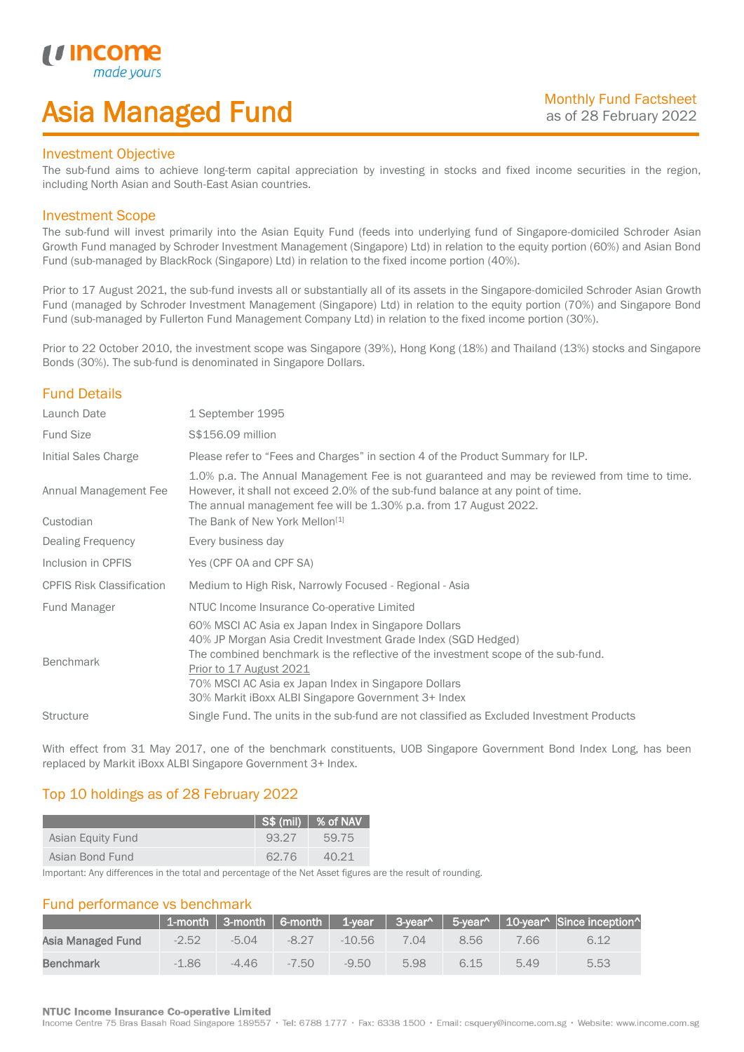## Asia Managed Fund

### Investment Objective

*i i* Incol

I

The sub-fund aims to achieve long-term capital appreciation by investing in stocks and fixed income securities in the region, including North Asian and South-East Asian countries.

### Investment Scope

The sub-fund will invest primarily into the Asian Equity Fund (feeds into underlying fund of Singapore-domiciled Schroder Asian Growth Fund managed by Schroder Investment Management (Singapore) Ltd) in relation to the equity portion (60%) and Asian Bond Fund (sub-managed by BlackRock (Singapore) Ltd) in relation to the fixed income portion (40%).

Prior to 17 August 2021, the sub-fund invests all or substantially all of its assets in the Singapore-domiciled Schroder Asian Growth Fund (managed by Schroder Investment Management (Singapore) Ltd) in relation to the equity portion (70%) and Singapore Bond Fund (sub-managed by Fullerton Fund Management Company Ltd) in relation to the fixed income portion (30%).

Prior to 22 October 2010, the investment scope was Singapore (39%), Hong Kong (18%) and Thailand (13%) stocks and Singapore Bonds (30%). The sub-fund is denominated in Singapore Dollars.

## Fund Details

| Launch Date                        | 1 September 1995                                                                                                                                                                                                                                                                                                                                     |
|------------------------------------|------------------------------------------------------------------------------------------------------------------------------------------------------------------------------------------------------------------------------------------------------------------------------------------------------------------------------------------------------|
| <b>Fund Size</b>                   | S\$156.09 million                                                                                                                                                                                                                                                                                                                                    |
| Initial Sales Charge               | Please refer to "Fees and Charges" in section 4 of the Product Summary for ILP.                                                                                                                                                                                                                                                                      |
| Annual Management Fee<br>Custodian | 1.0% p.a. The Annual Management Fee is not guaranteed and may be reviewed from time to time.<br>However, it shall not exceed 2.0% of the sub-fund balance at any point of time.<br>The annual management fee will be 1.30% p.a. from 17 August 2022.<br>The Bank of New York Mellon <sup>[1]</sup>                                                   |
| Dealing Frequency                  | Every business day                                                                                                                                                                                                                                                                                                                                   |
| Inclusion in CPFIS                 | Yes (CPF OA and CPF SA)                                                                                                                                                                                                                                                                                                                              |
| <b>CPFIS Risk Classification</b>   | Medium to High Risk, Narrowly Focused - Regional - Asia                                                                                                                                                                                                                                                                                              |
| <b>Fund Manager</b>                | NTUC Income Insurance Co-operative Limited                                                                                                                                                                                                                                                                                                           |
| <b>Benchmark</b>                   | 60% MSCI AC Asia ex Japan Index in Singapore Dollars<br>40% JP Morgan Asia Credit Investment Grade Index (SGD Hedged)<br>The combined benchmark is the reflective of the investment scope of the sub-fund.<br>Prior to 17 August 2021<br>70% MSCI AC Asia ex Japan Index in Singapore Dollars<br>30% Markit iBoxx ALBI Singapore Government 3+ Index |
| <b>Structure</b>                   | Single Fund. The units in the sub-fund are not classified as Excluded Investment Products                                                                                                                                                                                                                                                            |

With effect from 31 May 2017, one of the benchmark constituents, UOB Singapore Government Bond Index Long, has been replaced by Markit iBoxx ALBI Singapore Government 3+ Index.

## Top 10 holdings as of 28 February 2022

|                   |       | I S\$ (mil) │ % of NAV \ |
|-------------------|-------|--------------------------|
| Asian Equity Fund | 93.27 | 59.75                    |
| Asian Bond Fund   | 62.76 | 40.21                    |

Important: Any differences in the total and percentage of the Net Asset figures are the result of rounding.

### Fund performance vs benchmark

|                   |         |         |         |          |      |      |      | 1-month   3-month   6-month   1-year   3-year^   5-year^   10-year^   Since inception^ |
|-------------------|---------|---------|---------|----------|------|------|------|----------------------------------------------------------------------------------------|
| Asia Managed Fund | $-2.52$ | -5 04   | $-8.27$ | $-10.56$ | 7.04 | 8.56 | 7.66 | 6.12                                                                                   |
| Benchmark         | $-1.86$ | $-4.46$ | $-7.50$ | $-9.50$  | 5.98 | 6.15 | 5.49 | 5.53                                                                                   |

### **NTUC Income Insurance Co-operative Limited**

Income Centre 75 Bras Basah Road Singapore 189557 · Tel: 6788 1777 · Fax: 6338 1500 · Email: csquery@income.com.sg · Website: www.income.com.sg